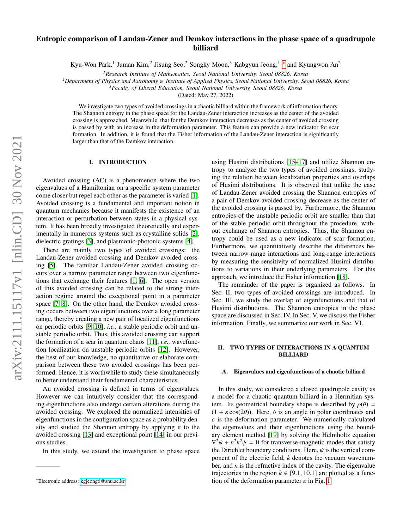# arXiv:2111.15117v1 [nlin.CD] 30 Nov 2021 arXiv:2111.15117v1 [nlin.CD] 30 Nov 2021

# Entropic comparison of Landau-Zener and Demkov interactions in the phase space of a quadrupole billiard

Kyu-Won Park,<sup>1</sup> Juman Kim,<sup>2</sup> Jisung Seo,<sup>2</sup> Songky Moon,<sup>3</sup> Kabgyun Jeong,<sup>1,\*</sup> and Kyungwon An<sup>2</sup>

*<sup>1</sup>Research Institute of Mathematics, Seoul National University, Seoul 08826, Korea*

*<sup>2</sup>Department of Physics and Astronomy* & *Institute of Applied Physics, Seoul National University, Seoul 08826, Korea*

*<sup>3</sup>Faculty of Liberal Education, Seoul National University, Seoul 08826, Korea*

(Dated: May 27, 2022)

We investigate two types of avoided crossings in a chaotic billiard within the framework of information theory. The Shannon entropy in the phase space for the Landau-Zener interaction increases as the center of the avoided crossing is approached. Meanwhile, that for the Demkov interaction decreases as the center of avoided crossing is passed by with an increase in the deformation parameter. This feature can provide a new indicator for scar formation. In addition, it is found that the Fisher information of the Landau-Zener interaction is significantly larger than that of the Demkov interaction.

# I. INTRODUCTION

Avoided crossing (AC) is a phenomenon where the two eigenvalues of a Hamiltonian on a specific system parameter come closer but repel each other as the parameter is varied [\[1\]](#page-6-0). Avoided crossing is a fundamental and important notion in quantum mechanics because it manifests the existence of an interaction or perturbation between states in a physical system. It has been broadly investigated theoretically and experimentally in numerous systems such as crystalline solids [\[2\]](#page-6-1), dielectric gratings [\[3\]](#page-6-2), and plasmonic-photonic systems [\[4\]](#page-6-3).

There are mainly two types of avoided crossings: the Landau-Zener avoided crossing and Demkov avoided crossing [\[5\]](#page-6-4). The familiar Landau-Zener avoided crossing occurs over a narrow parameter range between two eigenfunctions that exchange their features [\[1,](#page-6-0) [6\]](#page-6-5). The open version of this avoided crossing can be related to the strong interaction regime around the exceptional point in a parameter space [\[7,](#page-6-6) [8\]](#page-6-7). On the other hand, the Demkov avoided crossing occurs between two eigenfunctions over a long parameter range, thereby creating a new pair of localized eigenfunctions on periodic orbits [\[9,](#page-6-8) [10\]](#page-6-9), *i.e.,* a stable periodic orbit and unstable periodic orbit. Thus, this avoided crossing can support the formation of a scar in quantum chaos [\[11\]](#page-7-0), *i.e.,* wavefunction localization on unstable periodic orbits [\[12\]](#page-7-1). However, the best of our knowledge, no quantitative or elaborate comparison between these two avoided crossings has been performed. Hence, it is worthwhile to study these simultaneously to better understand their fundamental characteristics.

An avoided crossing is defined in terms of eigenvalues. However we can intuitively consider that the corresponding eigenfunctions also undergo certain alterations during the avoided crossing. We explored the normalized intensities of eigenfunctions in the configuration space as a probability density and studied the Shannon entropy by applying it to the avoided crossing [\[13\]](#page-7-2) and exceptional point [\[14\]](#page-7-3) in our previous studies.

In this study, we extend the investigation to phase space

using Husimi distributions [\[15](#page-7-4)[–17\]](#page-7-5) and utilize Shannon entropy to analyze the two types of avoided crossings, studying the relation between localization properties and overlaps of Husimi distributions. It is observed that unlike the case of Landau-Zener avoided crossing the Shannon entropies of a pair of Demkov avoided crossing decrease as the center of the avoided crossing is passed by. Furthermore, the Shannon entropies of the unstable periodic orbit are smaller than that of the stable periodic orbit throughout the procedure, without exchange of Shannon entropies. Thus, the Shannon entropy could be used as a new indicator of scar formation. Furthermore, we quantitatively describe the differences between narrow-range interactions and long-range interactions by measuring the sensitivity of normalized Husimi distributions to variations in their underlying parameters. For this approach, we introduce the Fisher information [\[18\]](#page-7-6).

The remainder of the paper is organized as follows. In Sec. II, two types of avoided crossings are introduced. In Sec. III, we study the overlap of eigenfunctions and that of Husimi distributions. The Shannon entropies in the phase space are discussed in Sec. IV. In Sec. V, we discuss the Fisher information. Finally, we summarize our work in Sec. VI.

# II. TWO TYPES OF INTERACTIONS IN A QUANTUM BILLIARD

### A. Eigenvalues and eigenfunctions of a chaotic billiard

In this study, we considered a closed quadrupole cavity as a model for a chaotic quantum billiard in a Hermitian system. Its geometrical boundary shape is described by  $\rho(\theta)$  =  $(1 + \varepsilon \cos(2\theta))$ . Here,  $\theta$  is an angle in polar coordinates and  $\varepsilon$  is the deformation parameter. We numerically calculated the eigenvalues and their eigenfunctions using the boundary element method [\[19\]](#page-7-7) by solving the Helmholtz equation  $\nabla^2 \psi + n^2 k^2 \psi = 0$  for transverse-magnetic modes that satisfy<br>the Dirichlet boundary conditions. Here *N* is the vertical comthe Dirichlet boundary conditions. Here,  $\psi$  is the vertical component of the electric field, *k* denotes the vacuum wavenumber, and *n* is the refractive index of the cavity. The eigenvalue trajectories in the region  $k \in [9.1, 10.1]$  are plotted as a function of the deformation parameter  $\varepsilon$  in Fig. [1.](#page-1-0)

<span id="page-0-0"></span><sup>∗</sup>Electronic address: [kgjeong6@snu.ac.kr](mailto:kgjeong6@snu.ac.kr)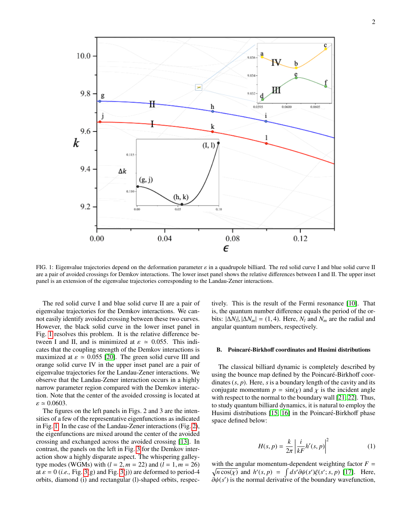

<span id="page-1-0"></span>FIG. 1: Eigenvalue trajectories depend on the deformation parameter  $\varepsilon$  in a quadrupole billiard. The red solid curve I and blue solid curve II are a pair of avoided crossings for Demkov interactions. The lower inset panel shows the relative differences between I and II. The upper inset panel is an extension of the eigenvalue trajectories corresponding to the Landau-Zener interactions.

The red solid curve I and blue solid curve II are a pair of eigenvalue trajectories for the Demkov interactions. We cannot easily identify avoided crossing between these two curves. However, the black solid curve in the lower inset panel in Fig. [1](#page-1-0) resolves this problem. It is the relative difference between I and II, and is minimized at  $\varepsilon \approx 0.055$ . This indicates that the coupling strength of the Demkov interactions is maximized at  $\varepsilon \approx 0.055$  [\[20\]](#page-7-8). The green solid curve III and orange solid curve IV in the upper inset panel are a pair of eigenvalue trajectories for the Landau-Zener interactions. We observe that the Landau-Zener interaction occurs in a highly narrow parameter region compared with the Demkov interaction. Note that the center of the avoided crossing is located at  $\varepsilon \simeq 0.0603$ .

The figures on the left panels in Figs. 2 and 3 are the intensities of a few of the representative eigenfunctions as indicated in Fig. [1.](#page-1-0) In the case of the Landau-Zener interactions (Fig. [2\)](#page-2-0), the eigenfunctions are mixed around the center of the avoided crossing and exchanged across the avoided crossing [\[13\]](#page-7-2). In contrast, the panels on the left in Fig. [3](#page-2-1) for the Demkov interaction show a highly disparate aspect. The whispering galleytype modes (WGMs) with  $(l = 2, m = 22)$  and  $(l = 1, m = 26)$ at  $\varepsilon = 0$  (*i.e.*, Fig. [3\(](#page-2-1)g) and Fig. 3(j)) are deformed to period-4 orbits, diamond (i) and rectangular (l)-shaped orbits, respec-

tively. This is the result of the Fermi resonance [\[10\]](#page-6-9). That is, the quantum number difference equals the period of the orbits:  $|\Delta N_l|, |\Delta N_m| = (1, 4)$ . Here,  $N_l$  and  $N_m$  are the radial and anoular quantum numbers respectively angular quantum numbers, respectively.

### B. Poincaré-Birkhoff coordinates and Husimi distributions

The classical billiard dynamic is completely described by using the bounce map defined by the Poincaré-Birkhoff coordinates (*s*, *<sup>p</sup>*). Here, *<sup>s</sup>* is a boundary length of the cavity and its conjugate momentum  $p = sin(x)$  and  $\chi$  is the incident angle with respect to the normal to the boundary wall [\[21,](#page-7-9) [22\]](#page-7-10). Thus, to study quantum billiard dynamics, it is natural to employ the Husimi distributions  $[15, 16]$  $[15, 16]$  in the Poincaré-Birkhoff phase space defined below:

$$
H(s,p) = \frac{k}{2\pi} \left| \frac{i}{kF} h'(s,p) \right|^2 \tag{1}
$$

with the angular momentum-dependent weighting factor  $F =$  $\sqrt{n \cos(\chi)}$  and  $h'(s, p) = \int ds' \partial \psi(s') \xi(s'; s, p)$  [\[17\]](#page-7-5). Here,  $\partial h(s')$  is the normal derivative of the boundary wavefunction  $\partial \psi(s')$  is the normal derivative of the boundary wavefunction,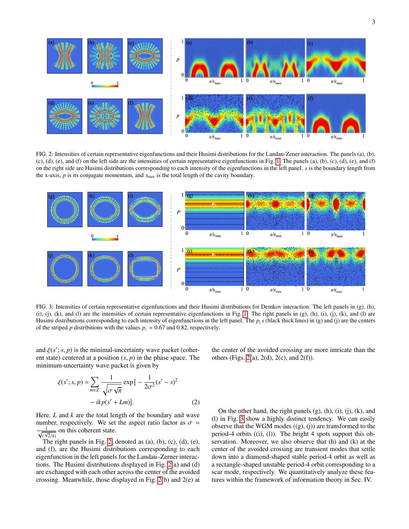

<span id="page-2-0"></span>FIG. 2: Intensities of certain representative eigenfunctions and their Husimi distributions for the Landau-Zener interaction. The panels (a), (b),  $(c)$ ,  $(d)$ ,  $(e)$ , and  $(f)$  on the left side are the intensities of certain representative eigenfunctions in Fig. [1.](#page-1-0) The panels  $(a)$ ,  $(b)$ ,  $(c)$ ,  $(d)$ ,  $(e)$ , and  $(f)$ on the right side are Husimi distributions corresponding to each intensity of the eigenfunctions in the left panel. *s* is the boundary length from the x-axis,  $p$  is its conjugate momentum, and  $s_{\text{max}}$  is the total length of the cavity boundary.



<span id="page-2-1"></span>FIG. 3: Intensities of certain representative eigenfunctions and their Husimi distributions for Demkov interaction. The left panels in (g), (h), (i), (j), (k), and (l) are the intensities of certain representative eigenfunctions in Fig. [1.](#page-1-0) The right panels in  $(g)$ , (h), (i), (i), (i), (k), and (l) are Husimi distributions corresponding to each intensity of eigenfunctions in the left panel. The  $p_c s$  (black thick lines) in (g) and (j) are the centers of the striped *p* distribitions with the values  $p_c \approx 0.67$  and 0.82, respectively.

and  $\xi(s'; s, p)$  is the minimal-uncertainty wave packet (coher-<br>ent state) centered at a position  $(s, p)$  in the phase space. The ent state) centered at a position (*s*, *<sup>p</sup>*) in the phase space. The minimum-uncertainty wave packet is given by

the center of the avoided crossing are more intricate than the others (Figs. [2\(](#page-2-0)a), 2(d), 2(c), and 2(f)).

$$
\xi(s';s,p) = \sum_{m \in \mathbb{Z}} \frac{1}{\sqrt{\sigma \sqrt{\pi}}} \exp\left[-\frac{1}{2\sigma^2}(s'-s)^2 -ikp(s'+Lm)\right].
$$
\n(2)

Here, *L* and *k* are the total length of the boundary and wave number, respectively. We set the aspect ratio factor as  $\sigma$  =  $\frac{1}{\sqrt{1}}$  $\sqrt{\frac{2}{k}}$ <br>The *x*  $\equiv$  on this coherent state.

The right panels in Fig. [2,](#page-2-0) denoted as (a), (b), (c), (d), (e), and (f), are the Husimi distributions corresponding to each eigenfunction in the left panels for the Landau–Zerner interactions. The Husimi distributions displayed in Fig. [2\(](#page-2-0)a) and (d) are exchanged with each other across the center of the avoided crossing. Meanwhile, those displayed in Fig. [2\(](#page-2-0)b) and 2(e) at

On the other hand, the right panels  $(g)$ ,  $(h)$ ,  $(i)$ ,  $(j)$ ,  $(k)$ , and (l) in Fig. [3](#page-2-1) show a highly distinct tendency. We can easily observe that the WGM modes  $((g), (j))$  are transformed to the period-4 orbits ((i), (l)). The bright 4 spots support this observation. Moreover, we also observe that (h) and (k) at the center of the avoided crossing are transient modes that settle down into a diamond-shaped stable period-4 orbit as well as a rectangle-shaped unstable period-4 orbit corresponding to a scar mode, respectively. We quantitatively analyze these features within the framework of information theory in Sec. IV.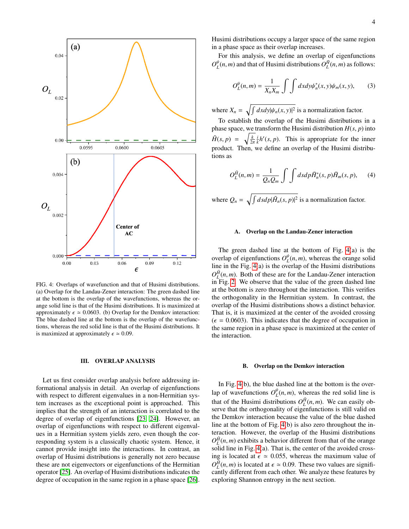

<span id="page-3-0"></span>FIG. 4: Overlaps of wavefunction and that of Husimi distributions. (a) Overlap for the Landau-Zener interaction: The green dashed line at the bottom is the overlap of the wavefunctions, whereas the orange solid line is that of the Husimi distributions. It is maximized at approximately  $\epsilon \approx 0.0603$ . (b) Overlap for the Demkov interaction: The blue dashed line at the bottom is the overlap of the wavefunctions, whereas the red solid line is that of the Husimi distributions. It is maximized at approximately  $\epsilon \approx 0.09$ .

### III. OVERLAP ANALYSIS

Let us first consider overlap analysis before addressing informational analysis in detail. An overlap of eigenfunctions with respect to different eigenvalues in a non-Hermitian system increases as the exceptional point is approached. This implies that the strength of an interaction is correlated to the degree of overlap of eigenfunctions [\[23,](#page-7-12) [24\]](#page-7-13). However, an overlap of eigenfunctions with respect to different eigenvalues in a Hermitian system yields zero, even though the corresponding system is a classically chaotic system. Hence, it cannot provide insight into the interactions. In contrast, an overlap of Husimi distributions is generally not zero because these are not eigenvectors or eigenfunctions of the Hermitian operator [\[25\]](#page-7-14). An overlap of Husimi distributions indicates the degree of occupation in the same region in a phase space [\[26\]](#page-7-15).

Husimi distributions occupy a larger space of the same region in a phase space as their overlap increases.

For this analysis, we define an overlap of eigenfunctions  $O_{L}^{\psi}(n,m)$  and that of Husimi distributions  $O_{L}^{\tilde{H}}(n,m)$  as follows:

$$
O_L^{\psi}(n,m) = \frac{1}{X_n X_m} \int \int dx dy \psi_n^*(x, y) \psi_m(x, y), \qquad (3)
$$

where  $X_n = \sqrt{\int dx dy |\psi_n(x, y)|^2}$  is a normalization factor.

To establish the overlap of the Husimi distributions in a phase space, we transform the Husimi distribution  $H(s, p)$  into  $\tilde{H}(s, p) = \sqrt{\frac{k}{2\pi}} \frac{i}{k} h'(s, p)$ . This is appropriate for the inner product. Then, we define an overlap of the Husimi distributions as

$$
O_L^{\tilde{H}}(n,m) = \frac{1}{Q_n Q_m} \int \int ds d\rho \tilde{H}_n^*(s, p) \tilde{H}_m(s, p), \quad (4)
$$

where  $Q_n = \sqrt{\int ds d\rho |\tilde{H}_n(s, p)|^2}$  is a normalization factor.

### A. Overlap on the Landau-Zener interaction

The green dashed line at the bottom of Fig. [4\(](#page-3-0)a) is the overlap of eigenfunctions  $O_L^{\psi}(n,m)$ , whereas the orange solid<br>line in the Fig. 4(a) is the overlap of the Husimi distributions line in the Fig. [4\(](#page-3-0)a) is the overlap of the Husimi distributions  $O_{\mu}^{\hat{H}}(n,m)$ . Both of these are for the Landau-Zener interaction<br>in Fig. 2. We observe that the value of the green dashed line in Fig. [2.](#page-2-0) We observe that the value of the green dashed line at the bottom is zero throughout the interaction. This verifies the orthogonality in the Hermitian system. In contrast, the overlap of the Husimi distributions shows a distinct behavior. That is, it is maximized at the center of the avoided crossing  $(\epsilon = 0.0603)$ . This indicates that the degree of occupation in the same region in a phase space is maximized at the center of the interaction.

### B. Overlap on the Demkov interaction

In Fig. [4\(](#page-3-0)b), the blue dashed line at the bottom is the overlap of wavefunctions  $O_{\mathcal{L}}^{\psi}(n,m)$ , whereas the red solid line is that of the Husimi distributions  $O_{L}^{\tilde{H}}(n, m)$ . We can easily observe that the orthogonality of eigenfunctions is still valid on serve that the orthogonality of eigenfunctions is still valid on the Demkov interaction because the value of the blue dashed line at the bottom of Fig. [4\(](#page-3-0)b) is also zero throughout the interaction. However, the overlap of the Husimi distributions  $O_{\text{L}}^{\tilde{H}}(n,m)$  exhibits a behavior different from that of the orange solid line in Fig. 4(a). That is the center of the avoided crosssolid line in Fig. [4\(](#page-3-0)a). That is, the center of the avoided crossing is located at  $\epsilon \approx 0.055$ , whereas the maximum value of  $O_L^{\hat{H}}(n,m)$  is located at  $\epsilon \approx 0.09$ . These two values are significantly different from each other. We analyze these features by cantly different from each other. We analyze these features by exploring Shannon entropy in the next section.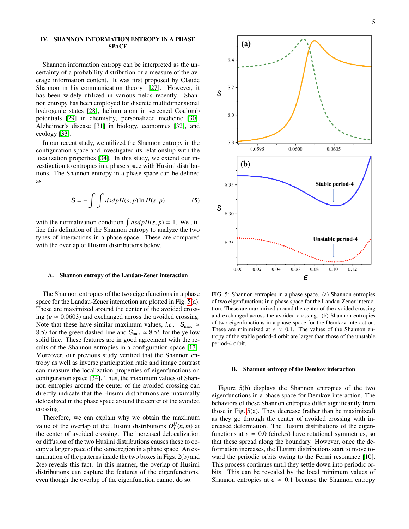### IV. SHANNON INFORMATION ENTROPY IN A PHASE SPACE

Shannon information entropy can be interpreted as the uncertainty of a probability distribution or a measure of the average information content. It was first proposed by Claude Shannon in his communication theory [\[27\]](#page-7-16). However, it has been widely utilized in various fields recently. Shannon entropy has been employed for discrete multidimensional hydrogenic states [\[28\]](#page-7-17), helium atom in screened Coulomb potentials [\[29\]](#page-7-18) in chemistry, personalized medicine [\[30\]](#page-7-19), Alzheimer's disease [\[31\]](#page-7-20) in biology, economics [\[32\]](#page-7-21), and ecology [\[33\]](#page-7-22).

In our recent study, we utilized the Shannon entropy in the configuration space and investigated its relationship with the localization properties [\[34\]](#page-7-23). In this study, we extend our investigation to entropies in a phase space with Husimi distributions. The Shannon entropy in a phase space can be defined as

$$
S = -\int \int ds dp H(s, p) \ln H(s, p) \tag{5}
$$

with the normalization condition  $\int ds dpH(s, p) = 1$ . We uti-<br>lize this definition of the Shannon entrony to analyze the two lize this definition of the Shannon entropy to analyze the two types of interactions in a phase space. These are compared with the overlap of Husimi distributions below.

### A. Shannon entropy of the Landau-Zener interaction

The Shannon entropies of the two eigenfunctions in a phase space for the Landau-Zener interaction are plotted in Fig. [5\(](#page-4-0)a). These are maximized around the center of the avoided crossing ( $\varepsilon \approx 0.0603$ ) and exchanged across the avoided crossing. Note that these have similar maximum values, *i.e.*,  $S_{\text{max}} \approx$ 8.57 for the green dashed line and  $S_{\text{max}} \approx 8.56$  for the yellow solid line. These features are in good agreement with the re-sults of the Shannon entropies in a configuration space [\[13\]](#page-7-2). Moreover, our previous study verified that the Shannon entropy as well as inverse participation ratio and image contrast can measure the localization properties of eigenfunctions on configuration space [\[34\]](#page-7-23). Thus, the maximum values of Shannon entropies around the center of the avoided crossing can directly indicate that the Husimi distributions are maximally delocalized in the phase space around the center of the avoided crossing.

Therefore, we can explain why we obtain the maximum value of the overlap of the Husimi distributions  $O_L^{\tilde{H}}(n,m)$  at the center of avoided crossing. The increased delocalization the center of avoided crossing. The increased delocalization or diffusion of the two Husimi distributions causes these to occupy a larger space of the same region in a phase space. An examination of the patterns inside the two boxes in Figs. 2(b) and 2(e) reveals this fact. In this manner, the overlap of Husimi distributions can capture the features of the eigenfunctions, even though the overlap of the eigenfunction cannot do so.



<span id="page-4-0"></span>FIG. 5: Shannon entropies in a phase space. (a) Shannon entropies of two eigenfunctions in a phase space for the Landau-Zener interaction. These are maximized around the center of the avoided crossing and exchanged across the avoided crossing. (b) Shannon entropies of two eigenfunctions in a phase space for the Demkov interaction. These are minimized at  $\epsilon \approx 0.1$ . The values of the Shannon entropy of the stable period-4 orbit are larger than those of the unstable period-4 orbit.

### B. Shannon entropy of the Demkov interaction

Figure 5(b) displays the Shannon entropies of the two eigenfunctions in a phase space for Demkov interaction. The behaviors of these Shannon entropies differ significantly from those in Fig. [5\(](#page-4-0)a). They decrease (rather than be maximized) as they go through the center of avoided crossing with increased deformation. The Husimi distributions of the eigenfunctions at  $\epsilon = 0.0$  (circles) have rotational symmetries, so that these spread along the boundary. However, once the deformation increases, the Husimi distributions start to move toward the periodic orbits owing to the Fermi resonance [\[10\]](#page-6-9). This process continues until they settle down into periodic orbits. This can be revealed by the local minimum values of Shannon entropies at  $\epsilon \approx 0.1$  because the Shannon entropy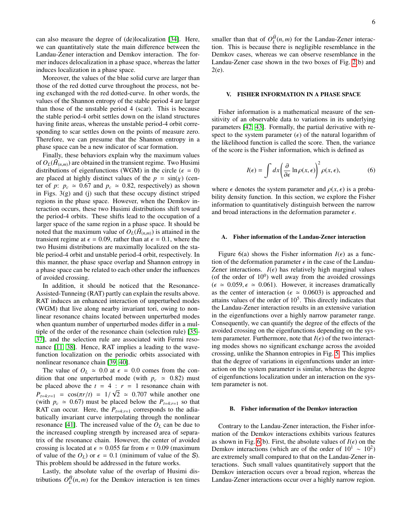can also measure the degree of (de)localization [\[34\]](#page-7-23). Here, we can quantitatively state the main difference between the Landau-Zener interaction and Demkov interaction. The former induces delocalization in a phase space, whereas the latter induces localization in a phase space.

Moreover, the values of the blue solid curve are larger than those of the red dotted curve throughout the process, not being exchanged with the red dotted-curve. In other words, the values of the Shannon entropy of the stable period 4 are larger than those of the unstable period 4 (scar). This is because the stable period-4 orbit settles down on the island structures having finite areas, whereas the unstable period-4 orbit corresponding to scar settles down on the points of measure zero. Therefore, we can presume that the Shannon entropy in a phase space can be a new indicator of scar formation.

Finally, these behaviors explain why the maximum values of  $O_L(\tilde{H}_{(n,m)})$  are obtained in the transient regime. Two Husimi<br>distributions of eigenfunctions (WGM) in the circle  $(\epsilon = 0)$ distributions of eigenfunctions (WGM) in the circle ( $\epsilon = 0$ ) are placed at highly distinct values of the  $p = sin(\chi)$  (center of *p*:  $p_c \approx 0.67$  and  $p_c \approx 0.82$ , respectively) as shown in Figs.  $3(g)$  and (j) such that these occupy distinct striped regions in the phase space. However, when the Demkov interaction occurs, these two Husimi distributions shift toward the period-4 orbits. These shifts lead to the occupation of a larger space of the same region in a phase space. It should be noted that the maximum value of  $O_L(\tilde{H}_{(n,m)})$  is attained in the transient regime at  $\epsilon = 0.00$  rather than at  $\epsilon = 0.1$  where the transient regime at  $\epsilon = 0.09$ , rather than at  $\epsilon = 0.1$ , where the two Husimi distributions are maximally localized on the stable period-4 orbit and unstable period-4 orbit, respectively. In this manner, the phase space overlap and Shannon entropy in a phase space can be related to each other under the influences of avoided crossing.

In addition, it should be noticed that the Resonance-Assisted-Tunneing (RAT) partly can explain the results above. RAT induces an enhanced interaction of unperturbed modes (WGM) that live along nearby invariant tori, owing to nonlinear resonance chains located between unperturbed modes when quantum number of unperturbed modes differ in a multiple of the order of the resonance chain (selection rule) [\[35–](#page-7-24) [37\]](#page-7-25), and the selection rule are associated with Fermi resonance [\[11,](#page-7-0) [38\]](#page-7-26). Hence, RAT implies a leading to the wavefunction localization on the periodic orbits associated with nonlinear resonance chain [\[39,](#page-7-27) [40\]](#page-7-28).

The value of  $O_L \approx 0.0$  at  $\epsilon = 0.0$  comes from the condition that one unperturbed mode (with  $p_c \approx 0.82$ ) must be placed above the  $t = 4$  :  $r = 1$  resonance chain with  $P_{t=4:r=1}$  =  $\cos(\pi r/t) = 1/\sqrt{2} \approx 0.707$  while another one<br>(with  $p_{t=2r} \approx 0.67$ ) must be placed below the  $P_{t=4r+1}$  so that (with  $p_c \approx 0.67$ ) must be placed below the  $P_{t=4:r=1}$  so that RAT can occur. Here, the  $P_{t=4:r=1}$  corresponds to the adiabatically invariant curve interpolating through the nonlinear resonance [\[41\]](#page-7-29). The increased value of the  $O_L$  can be due to the increased coupling strength by increased area of separatrix of the resonance chain. However, the center of avoided crossing is located at  $\epsilon \approx 0.055$  far from  $\epsilon = 0.09$  (maximum of value of the  $O_L$ ) or  $\epsilon = 0.1$  (minimum of value of the S). This problem should be addressed in the future works.

Lastly, the absolute value of the overlap of Husimi distributions  $O_L^{\tilde{H}}(n,m)$  for the Demkov interaction is ten times

smaller than that of  $O_L^{\tilde{H}}(n,m)$  for the Landau-Zener interaction. This is because there is negligible resemblance in the tion. This is because there is negligible resemblance in the Demkov cases, whereas we can observe resemblance in the Landau-Zener case shown in the two boxes of Fig. [2\(](#page-2-0)b) and 2(e).

### V. FISHER INFORMATION IN A PHASE SPACE

Fisher information is a mathematical measure of the sensitivity of an observable data to variations in its underlying parameters [\[42,](#page-7-30) [43\]](#page-7-31). Formally, the partial derivative with respect to the system parameter  $(\epsilon)$  of the natural logarithm of the likelihood function is called the score. Then, the variance of the score is the Fisher information, which is defined as

$$
I(\epsilon) = \int dx \left(\frac{\partial}{\partial \epsilon} \ln \rho(x, \epsilon)\right)^2 \rho(x, \epsilon),\tag{6}
$$

where  $\epsilon$  denotes the system parameter and  $\rho(x, \epsilon)$  is a probability density function. In this section, we explore the Fisher information to quantitatively distinguish between the narrow and broad interactions in the deformation parameter  $\epsilon$ .

### A. Fisher information of the Landau-Zener interaction

Figure 6(a) shows the Fisher information  $I(\epsilon)$  as a function of the deformation parameter  $\epsilon$  in the case of the Landau-Zener interactions.  $I(\epsilon)$  has relatively high marginal values (of the order of  $10^0$ ) well away from the avoided crossings  $(\epsilon \approx 0.059, \epsilon \approx 0.061)$ . However, it increases dramatically as the center of interaction ( $\epsilon \approx 0.0603$ ) is approached and attains values of the order of  $10<sup>5</sup>$ . This directly indicates that the Landau-Zener interaction results in an extensive variation in the eigenfunctions over a highly narrow parameter range. Consequently, we can quantify the degree of the effects of the avoided crossing on the eigenfunctions depending on the system parameter. Furthermore, note that  $I(\epsilon)$  of the two interacting modes shows no significant exchange across the avoided crossing, unlike the Shannon entropies in Fig. [5.](#page-4-0) This implies that the degree of variations in eigenfunctions under an interaction on the system parameter is similar, whereas the degree of eigenfunctions localization under an interaction on the system parameter is not.

### B. Fisher information of the Demkov interaction

Contrary to the Landau-Zener interaction, the Fisher information of the Demkov interactions exhibits various features as shown in Fig. [6\(](#page-6-10)b). First, the absolute values of  $I(\epsilon)$  on the Demkov interactions (which are of the order of  $10^1 \sim 10^2$ ) are extremely small compared to that on the Landau-Zener interactions. Such small values quantitatively support that the Demkov interaction occurs over a broad region, whereas the Landau-Zener interactions occur over a highly narrow region.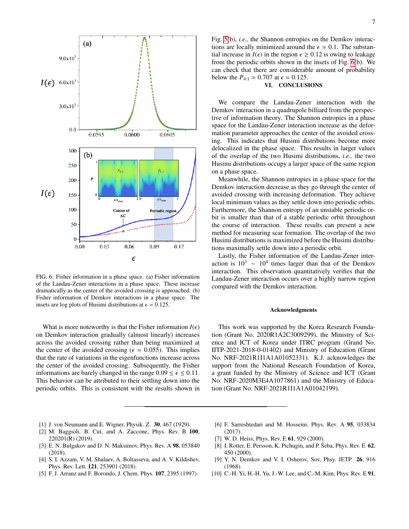

<span id="page-6-10"></span>FIG. 6: Fisher information in a phase space. (a) Fisher information of the Landau-Zener interactions in a phase space. These increase dramatically as the center of the avoided crossing is approached. (b) Fisher information of Demkov interactions in a phase space. The insets are log plots of Husimi distributions at  $\epsilon = 0.125$ .

What is more noteworthy is that the Fisher information  $I(\epsilon)$ on Demkov interaction gradually (almost linearly) increases across the avoided crossing rather than being maximized at the center of the avoided crossing ( $\epsilon = 0.055$ ). This implies that the rate of variations in the eigenfunctions increase across the center of the avoided crossing. Subsequently, the Fisher informations are barely changed in the range  $0.09 \le \epsilon \le 0.11$ . This behavior can be attributed to their settling down into the periodic orbits. This is consistent with the results shown in 7

Fig. [5\(](#page-4-0)b), *i.e.,* the Shannon entropies on the Demkov interactions are locally minimized around the  $\epsilon \approx 0.1$ . The substantial increase in  $I(\epsilon)$  in the region  $\epsilon \ge 0.12$  is owing to leakage from the periodic orbits shown in the insets of Fig. [6\(](#page-6-10)b). We can check that there are considerable amount of probability below the  $P_{4:1} \approx 0.707$  at  $\epsilon = 0.125$ .

# VI. CONCLUSIONS

We compare the Landau-Zener interaction with the Demkov interaction in a quadrupole billiard from the perspective of information theory. The Shannon entropies in a phase space for the Landau-Zener interaction increase as the deformation parameter approaches the center of the avoided crossing. This indicates that Husimi distributions become more delocalized in the phase space. This results in larger values of the overlap of the two Husimi distributions, *i.e.,* the two Husimi distributions occupy a larger space of the same region on a phase space.

Meanwhile, the Shannon entropies in a phase space for the Demkov interaction decrease as they go through the center of avoided crossing with increasing deformation. They achieve local minimum values as they settle down into periodic orbits. Furthermore, the Shannon entropy of an unstable periodic orbit is smaller than that of a stable periodic orbit throughout the course of interaction. These results can present a new method for measuring scar formation. The overlap of the two Husimi distributions is maximized before the Husimi distributions maximally settle down into a periodic orbit.

Lastly, the Fisher information of the Landau-Zener interaction is  $10^3 \sim 10^4$  times larger than that of the Demkov interaction. This observation quantitatively verifies that the Landau-Zener interaction occurs over a highly narrow region compared with the Demkov interaction.

### Acknowledgments

This work was supported by the Korea Research Foundation (Grant No. 2020R1A2C3009299), the Ministry of Science and ICT of Korea under ITRC program (Grand No. IITP-2021-2018-0-01402) and Ministry of Education (Grant No. NRF-2021R1I1A1A01052331). K.J. acknowledges the support from the National Research Foundation of Korea, a grant funded by the Ministry of Science and ICT (Grant No. NRF-2020M3E4A1077861) and the Ministry of Education (Grant No. NRF-2021R1I1A1A01042199).

- <span id="page-6-0"></span>[1] J. von Neumann and E. Wigner, Physik. Z. 30, 467 (1929).
- <span id="page-6-1"></span>[2] M. Baggioli, B. Cui, and A. Zaccone, Phys. Rev. B 100, 220201(R) (2019).
- <span id="page-6-2"></span>[3] E. N. Bulgakov and D. N. Maksimov, Phys. Rev. A 98, 053840 (2018).
- <span id="page-6-3"></span>[4] S. I. Azzam, V. M. Shalaev, A. Boltasseva, and A. V. Kildishev, Phys. Rev. Lett. 121, 253901 (2018).
- <span id="page-6-4"></span>[5] F. J. Arranz and F. Borondo, J. Chem. Phys. 107, 2395 (1997).
- <span id="page-6-5"></span>[6] F. Sarreshtedari and M. Hosseini, Phys. Rev. A 95, 033834 (2017).
- <span id="page-6-6"></span>[7] W. D. Heiss, Phys. Rev. E **61**, 929 (2000).
- <span id="page-6-7"></span>[8] I. Rotter, E. Persson, K. Pichugin, and P. Seba, Phys. Rev. E  $62$ , 450 (2000).
- <span id="page-6-8"></span>[9] Y. N. Demkov and V. I. Osherov, Sov. Phsy. JETP 26, 916 (1968).
- <span id="page-6-9"></span>[10] C.-H. Yi, H.-H. Yu, J.-W. Lee, and C.-M. Kim, Phys. Rev. E 91,